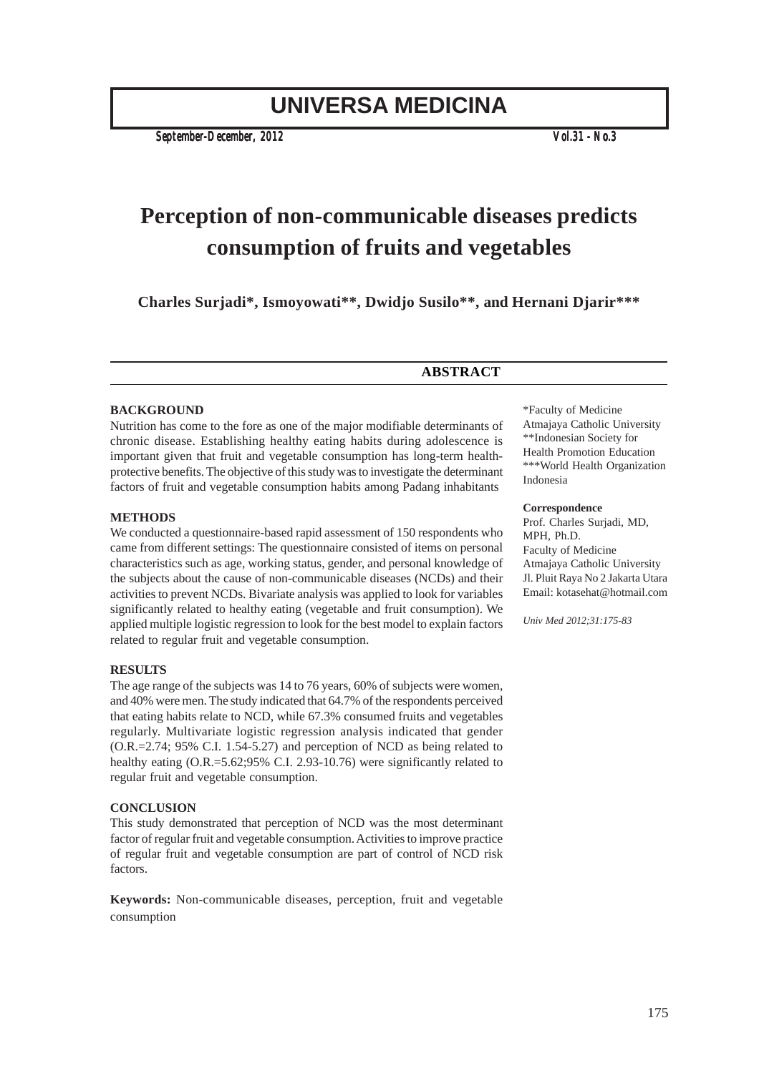# **UNIVERSA MEDICINA**

*September-December, 2012 Vol.31 - No.3*

# **Perception of non-communicable diseases predicts consumption of fruits and vegetables**

**Charles Surjadi\*, Ismoyowati\*\*, Dwidjo Susilo\*\*, and Hernani Djarir\*\*\***

# **ABSTRACT**

#### **BACKGROUND**

Nutrition has come to the fore as one of the major modifiable determinants of chronic disease. Establishing healthy eating habits during adolescence is important given that fruit and vegetable consumption has long-term healthprotective benefits. The objective of this study was to investigate the determinant factors of fruit and vegetable consumption habits among Padang inhabitants

#### **METHODS**

We conducted a questionnaire-based rapid assessment of 150 respondents who came from different settings: The questionnaire consisted of items on personal characteristics such as age, working status, gender, and personal knowledge of the subjects about the cause of non-communicable diseases (NCDs) and their activities to prevent NCDs. Bivariate analysis was applied to look for variables significantly related to healthy eating (vegetable and fruit consumption). We applied multiple logistic regression to look for the best model to explain factors related to regular fruit and vegetable consumption.

#### **RESULTS**

The age range of the subjects was 14 to 76 years, 60% of subjects were women, and 40% were men. The study indicated that 64.7% of the respondents perceived that eating habits relate to NCD, while 67.3% consumed fruits and vegetables regularly. Multivariate logistic regression analysis indicated that gender (O.R.=2.74; 95% C.I. 1.54-5.27) and perception of NCD as being related to healthy eating (O.R.=5.62;95% C.I. 2.93-10.76) were significantly related to regular fruit and vegetable consumption.

#### **CONCLUSION**

This study demonstrated that perception of NCD was the most determinant factor of regular fruit and vegetable consumption. Activities to improve practice of regular fruit and vegetable consumption are part of control of NCD risk factors.

**Keywords:** Non-communicable diseases, perception, fruit and vegetable consumption

\*Faculty of Medicine Atmajaya Catholic University \*\*Indonesian Society for Health Promotion Education \*\*\*World Health Organization Indonesia

#### **Correspondence**

Prof. Charles Surjadi, MD, MPH, Ph.D. Faculty of Medicine Atmajaya Catholic University Jl. Pluit Raya No 2 Jakarta Utara Email: kotasehat@hotmail.com

*Univ Med 2012;31:175-83*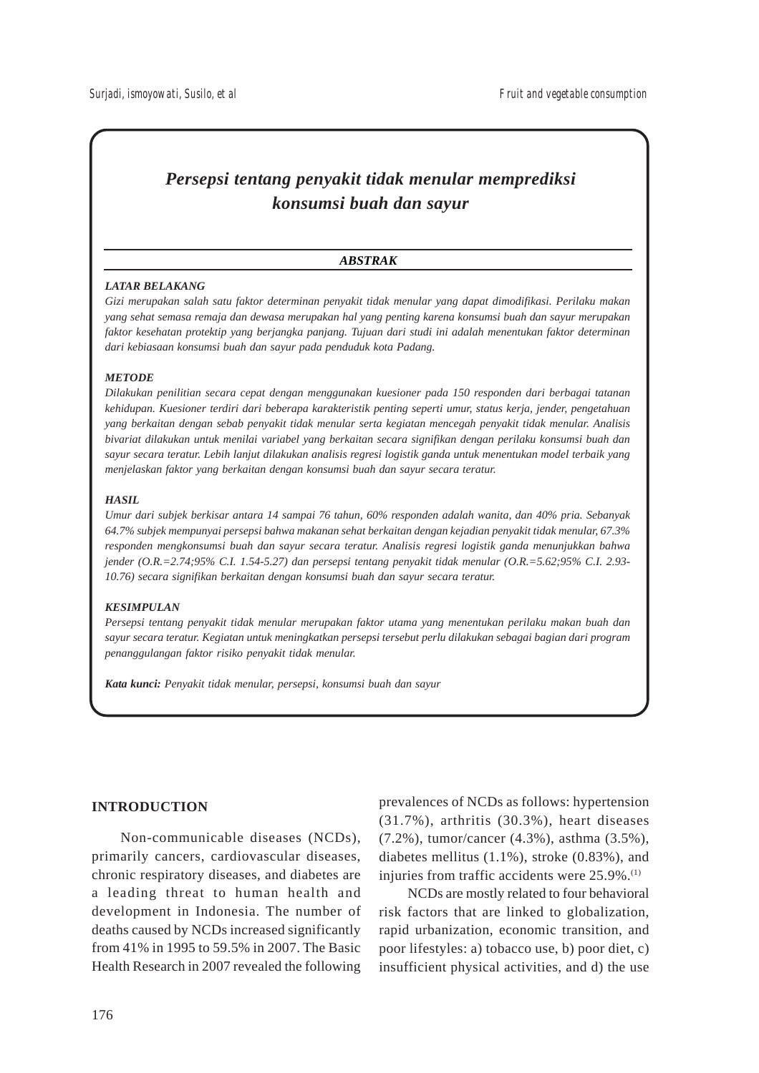# *Persepsi tentang penyakit tidak menular memprediksi konsumsi buah dan sayur*

# *ABSTRAK*

#### *LATAR BELAKANG*

*Gizi merupakan salah satu faktor determinan penyakit tidak menular yang dapat dimodifikasi. Perilaku makan yang sehat semasa remaja dan dewasa merupakan hal yang penting karena konsumsi buah dan sayur merupakan faktor kesehatan protektip yang berjangka panjang. Tujuan dari studi ini adalah menentukan faktor determinan dari kebiasaan konsumsi buah dan sayur pada penduduk kota Padang.*

# *METODE*

*Dilakukan penilitian secara cepat dengan menggunakan kuesioner pada 150 responden dari berbagai tatanan kehidupan. Kuesioner terdiri dari beberapa karakteristik penting seperti umur, status kerja, jender, pengetahuan yang berkaitan dengan sebab penyakit tidak menular serta kegiatan mencegah penyakit tidak menular. Analisis bivariat dilakukan untuk menilai variabel yang berkaitan secara signifikan dengan perilaku konsumsi buah dan sayur secara teratur. Lebih lanjut dilakukan analisis regresi logistik ganda untuk menentukan model terbaik yang menjelaskan faktor yang berkaitan dengan konsumsi buah dan sayur secara teratur.*

# *HASIL*

*Umur dari subjek berkisar antara 14 sampai 76 tahun, 60% responden adalah wanita, dan 40% pria. Sebanyak 64.7% subjek mempunyai persepsi bahwa makanan sehat berkaitan dengan kejadian penyakit tidak menular, 67.3% responden mengkonsumsi buah dan sayur secara teratur. Analisis regresi logistik ganda menunjukkan bahwa jender (O.R.=2.74;95% C.I. 1.54-5.27) dan persepsi tentang penyakit tidak menular (O.R.=5.62;95% C.I. 2.93- 10.76) secara signifikan berkaitan dengan konsumsi buah dan sayur secara teratur.*

#### *KESIMPULAN*

*Persepsi tentang penyakit tidak menular merupakan faktor utama yang menentukan perilaku makan buah dan sayur secara teratur. Kegiatan untuk meningkatkan persepsi tersebut perlu dilakukan sebagai bagian dari program penanggulangan faktor risiko penyakit tidak menular.*

*Kata kunci: Penyakit tidak menular, persepsi, konsumsi buah dan sayur*

# **INTRODUCTION**

Non-communicable diseases (NCDs), primarily cancers, cardiovascular diseases, chronic respiratory diseases, and diabetes are a leading threat to human health and development in Indonesia. The number of deaths caused by NCDs increased significantly from 41% in 1995 to 59.5% in 2007. The Basic Health Research in 2007 revealed the following

prevalences of NCDs as follows: hypertension (31.7%), arthritis (30.3%), heart diseases (7.2%), tumor/cancer (4.3%), asthma (3.5%), diabetes mellitus (1.1%), stroke (0.83%), and injuries from traffic accidents were 25.9%.<sup>(1)</sup>

NCDs are mostly related to four behavioral risk factors that are linked to globalization, rapid urbanization, economic transition, and poor lifestyles: a) tobacco use, b) poor diet, c) insufficient physical activities, and d) the use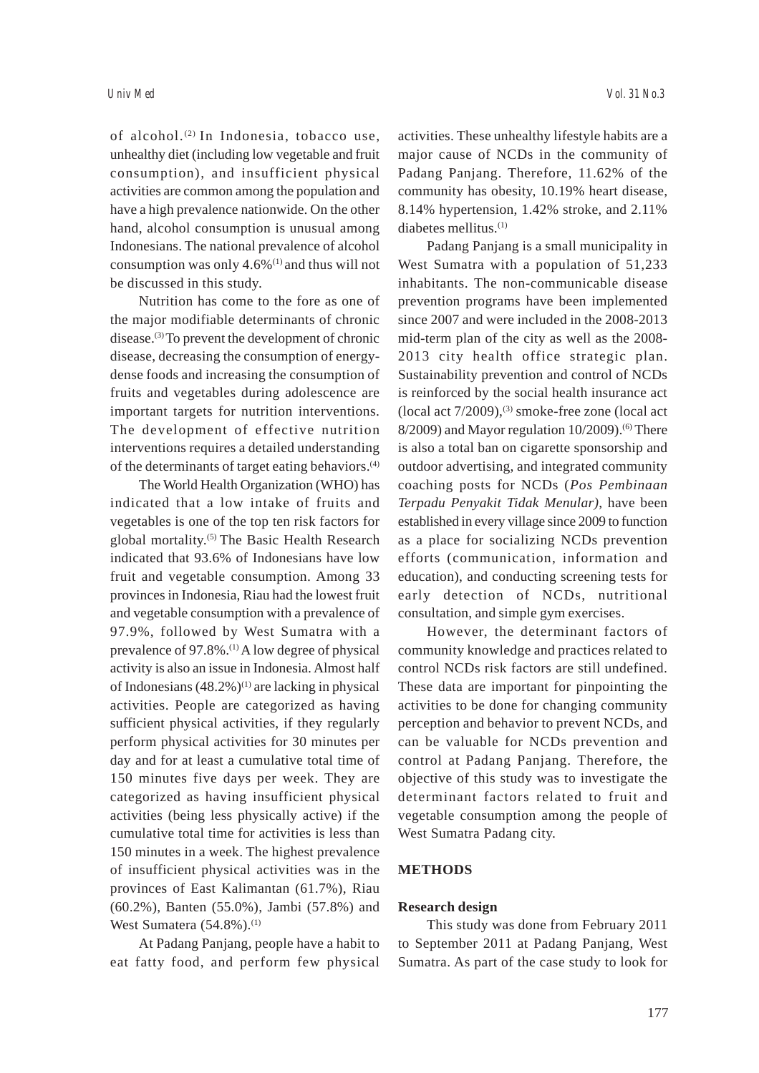of alcohol.(2) In Indonesia, tobacco use, unhealthy diet (including low vegetable and fruit consumption), and insufficient physical activities are common among the population and have a high prevalence nationwide. On the other hand, alcohol consumption is unusual among Indonesians. The national prevalence of alcohol consumption was only  $4.6\%$ <sup>(1)</sup> and thus will not be discussed in this study.

Nutrition has come to the fore as one of the major modifiable determinants of chronic disease.(3) To prevent the development of chronic disease, decreasing the consumption of energydense foods and increasing the consumption of fruits and vegetables during adolescence are important targets for nutrition interventions. The development of effective nutrition interventions requires a detailed understanding of the determinants of target eating behaviors.(4)

The World Health Organization (WHO) has indicated that a low intake of fruits and vegetables is one of the top ten risk factors for global mortality.(5) The Basic Health Research indicated that 93.6% of Indonesians have low fruit and vegetable consumption. Among 33 provinces in Indonesia, Riau had the lowest fruit and vegetable consumption with a prevalence of 97.9%, followed by West Sumatra with a prevalence of 97.8%.(1) A low degree of physical activity is also an issue in Indonesia. Almost half of Indonesians  $(48.2\%)^{(1)}$  are lacking in physical activities. People are categorized as having sufficient physical activities, if they regularly perform physical activities for 30 minutes per day and for at least a cumulative total time of 150 minutes five days per week. They are categorized as having insufficient physical activities (being less physically active) if the cumulative total time for activities is less than 150 minutes in a week. The highest prevalence of insufficient physical activities was in the provinces of East Kalimantan (61.7%), Riau (60.2%), Banten (55.0%), Jambi (57.8%) and West Sumatera  $(54.8\%)$ .<sup>(1)</sup>

At Padang Panjang, people have a habit to eat fatty food, and perform few physical activities. These unhealthy lifestyle habits are a major cause of NCDs in the community of Padang Panjang. Therefore, 11.62% of the community has obesity, 10.19% heart disease, 8.14% hypertension, 1.42% stroke, and 2.11% diabetes mellitus.(1)

Padang Panjang is a small municipality in West Sumatra with a population of 51,233 inhabitants. The non-communicable disease prevention programs have been implemented since 2007 and were included in the 2008-2013 mid-term plan of the city as well as the 2008- 2013 city health office strategic plan. Sustainability prevention and control of NCDs is reinforced by the social health insurance act (local act  $7/2009$ ),<sup>(3)</sup> smoke-free zone (local act  $8/2009$ ) and Mayor regulation  $10/2009$ .<sup>(6)</sup> There is also a total ban on cigarette sponsorship and outdoor advertising, and integrated community coaching posts for NCDs (*Pos Pembinaan Terpadu Penyakit Tidak Menular)*, have been established in every village since 2009 to function as a place for socializing NCDs prevention efforts (communication, information and education), and conducting screening tests for early detection of NCDs, nutritional consultation, and simple gym exercises.

However, the determinant factors of community knowledge and practices related to control NCDs risk factors are still undefined. These data are important for pinpointing the activities to be done for changing community perception and behavior to prevent NCDs, and can be valuable for NCDs prevention and control at Padang Panjang. Therefore, the objective of this study was to investigate the determinant factors related to fruit and vegetable consumption among the people of West Sumatra Padang city.

# **METHODS**

#### **Research design**

This study was done from February 2011 to September 2011 at Padang Panjang, West Sumatra. As part of the case study to look for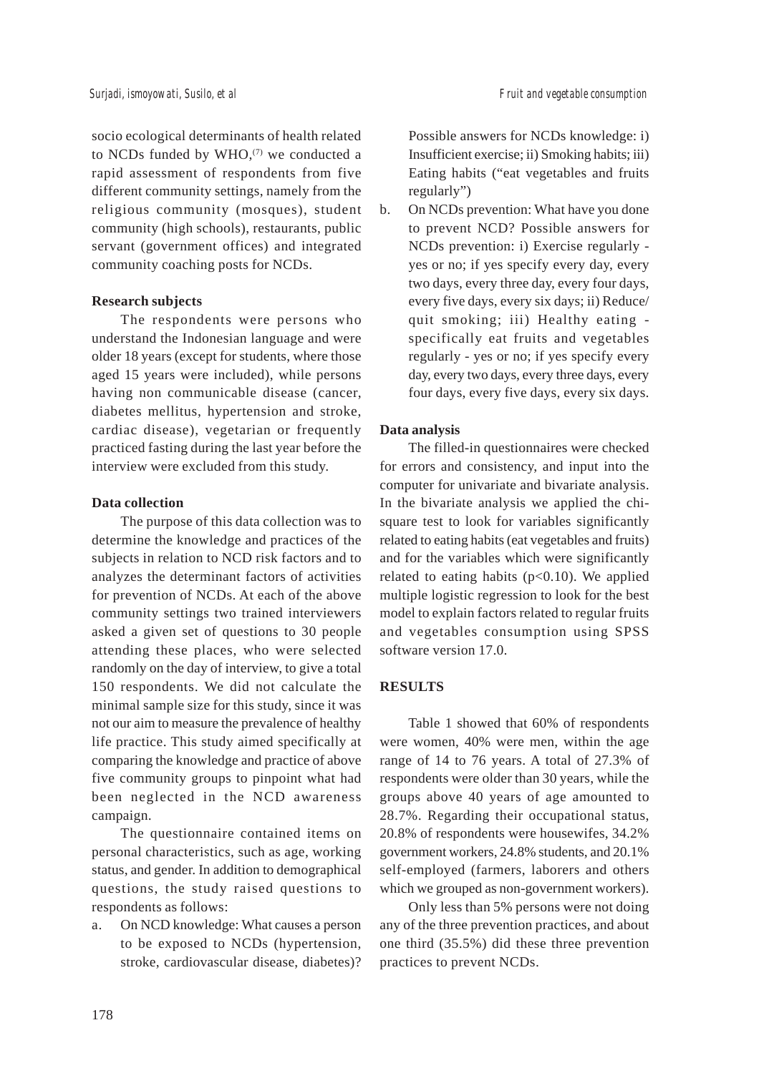socio ecological determinants of health related to NCDs funded by  $WHO<sub>1</sub><sup>(7)</sup>$  we conducted a rapid assessment of respondents from five different community settings, namely from the religious community (mosques), student community (high schools), restaurants, public servant (government offices) and integrated community coaching posts for NCDs.

# **Research subjects**

The respondents were persons who understand the Indonesian language and were older 18 years (except for students, where those aged 15 years were included), while persons having non communicable disease (cancer, diabetes mellitus, hypertension and stroke, cardiac disease), vegetarian or frequently practiced fasting during the last year before the interview were excluded from this study.

# **Data collection**

The purpose of this data collection was to determine the knowledge and practices of the subjects in relation to NCD risk factors and to analyzes the determinant factors of activities for prevention of NCDs. At each of the above community settings two trained interviewers asked a given set of questions to 30 people attending these places, who were selected randomly on the day of interview, to give a total 150 respondents. We did not calculate the minimal sample size for this study, since it was not our aim to measure the prevalence of healthy life practice. This study aimed specifically at comparing the knowledge and practice of above five community groups to pinpoint what had been neglected in the NCD awareness campaign.

The questionnaire contained items on personal characteristics, such as age, working status, and gender. In addition to demographical questions, the study raised questions to respondents as follows:

a. On NCD knowledge: What causes a person to be exposed to NCDs (hypertension, stroke, cardiovascular disease, diabetes)?

Possible answers for NCDs knowledge: i) Insufficient exercise; ii) Smoking habits; iii) Eating habits ("eat vegetables and fruits regularly")

b. On NCDs prevention: What have you done to prevent NCD? Possible answers for NCDs prevention: i) Exercise regularly yes or no; if yes specify every day, every two days, every three day, every four days, every five days, every six days; ii) Reduce/ quit smoking; iii) Healthy eating specifically eat fruits and vegetables regularly - yes or no; if yes specify every day, every two days, every three days, every four days, every five days, every six days.

# **Data analysis**

The filled-in questionnaires were checked for errors and consistency, and input into the computer for univariate and bivariate analysis. In the bivariate analysis we applied the chisquare test to look for variables significantly related to eating habits (eat vegetables and fruits) and for the variables which were significantly related to eating habits  $(p<0.10)$ . We applied multiple logistic regression to look for the best model to explain factors related to regular fruits and vegetables consumption using SPSS software version 17.0.

# **RESULTS**

Table 1 showed that 60% of respondents were women, 40% were men, within the age range of 14 to 76 years. A total of 27.3% of respondents were older than 30 years, while the groups above 40 years of age amounted to 28.7%. Regarding their occupational status, 20.8% of respondents were housewifes, 34.2% government workers, 24.8% students, and 20.1% self-employed (farmers, laborers and others which we grouped as non-government workers).

Only less than 5% persons were not doing any of the three prevention practices, and about one third (35.5%) did these three prevention practices to prevent NCDs.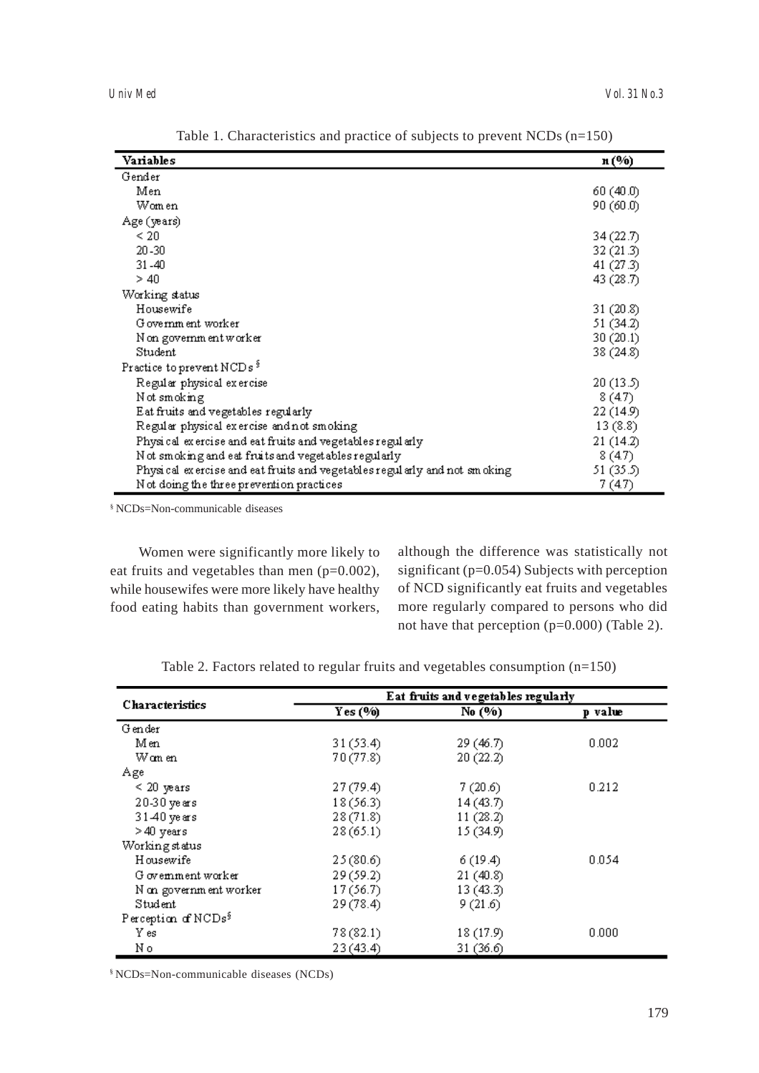| Variables                                                                 | n (%)     |
|---------------------------------------------------------------------------|-----------|
| Gender                                                                    |           |
| Men                                                                       | 60 (40.0) |
| Women                                                                     | 90 (60.0) |
| Age (years)                                                               |           |
| < 20                                                                      | 34 (22.7) |
| 20-30                                                                     | 32(21.3)  |
| $31 - 40$                                                                 | 41 (27.3) |
| >40                                                                       | 43 (28.7) |
| Working status                                                            |           |
| Housewife                                                                 | 31 (20.8) |
| G overnm ent worker                                                       | 51 (34.2) |
| N on government worker                                                    | 30(20.1)  |
| Student                                                                   | 38 (24.8) |
| Practice to prevent NCDs <sup>§</sup>                                     |           |
| Regular physical exercise                                                 | 20(13.5)  |
| Not smoking.                                                              | 8(4.7)    |
| Eat fruits and vegetables regularly                                       | 22 (14.9) |
| Regular physical exercise and not smoking                                 | 13(8.8)   |
| Physical exercise and eat fruits and vegetables regularly.                | 21(14.2)  |
| N ot smoking and eat fruits and veget ables regularly.                    | 8(47)     |
| Physical exercise and eat fruits and vegetables regularly and not smoking | 51 (35.5) |
| Not doing the three prevention practices                                  | 7 (47)    |

Table 1. Characteristics and practice of subjects to prevent NCDs (n=150)

§ NCDs=Non-communicable diseases

Women were significantly more likely to eat fruits and vegetables than men  $(p=0.002)$ , while housewifes were more likely have healthy food eating habits than government workers, although the difference was statistically not significant (p=0.054) Subjects with perception of NCD significantly eat fruits and vegetables more regularly compared to persons who did not have that perception (p=0.000) (Table 2).

| <b>Characteristics</b>          | Eat fruits and vegetables regularly |           |         |  |
|---------------------------------|-------------------------------------|-----------|---------|--|
|                                 | Yes(90)                             | No (%)    | p value |  |
| Gender                          |                                     |           |         |  |
| Men                             | 31(53.4)                            | 29(46.7)  | 0.002   |  |
| Wan en                          | 70 (77.8)                           | 20(22.2)  |         |  |
| Age                             |                                     |           |         |  |
| $\leq 20$ years                 | 27(79.4)                            | 7(20.6)   | 0.212   |  |
| 20-30 years                     | 18(56.3)                            | 14(43.7)  |         |  |
| 31-40 years                     | 28(71.8)                            | 11(28.2)  |         |  |
| >40 years                       | 28(65.1)                            | 15 (34.9) |         |  |
| Workingstatus                   |                                     |           |         |  |
| Housewife                       | 25(80.6)                            | 6(19.4)   | 0.054   |  |
| G overnment worker              | 29(59.2)                            | 21(40.8)  |         |  |
| N on government worker          | 17(56.7)                            | 13(43.3)  |         |  |
| Student                         | 29(78.4)                            | 9(21.6)   |         |  |
| Perception of NCDs <sup>§</sup> |                                     |           |         |  |
| Y es                            | 78(82.1)                            | 18 (17.9) | 0.000   |  |
| Νo                              | 23(43.4)                            | 31 (36.6) |         |  |

Table 2. Factors related to regular fruits and vegetables consumption (n=150)

§ NCDs=Non-communicable diseases (NCDs)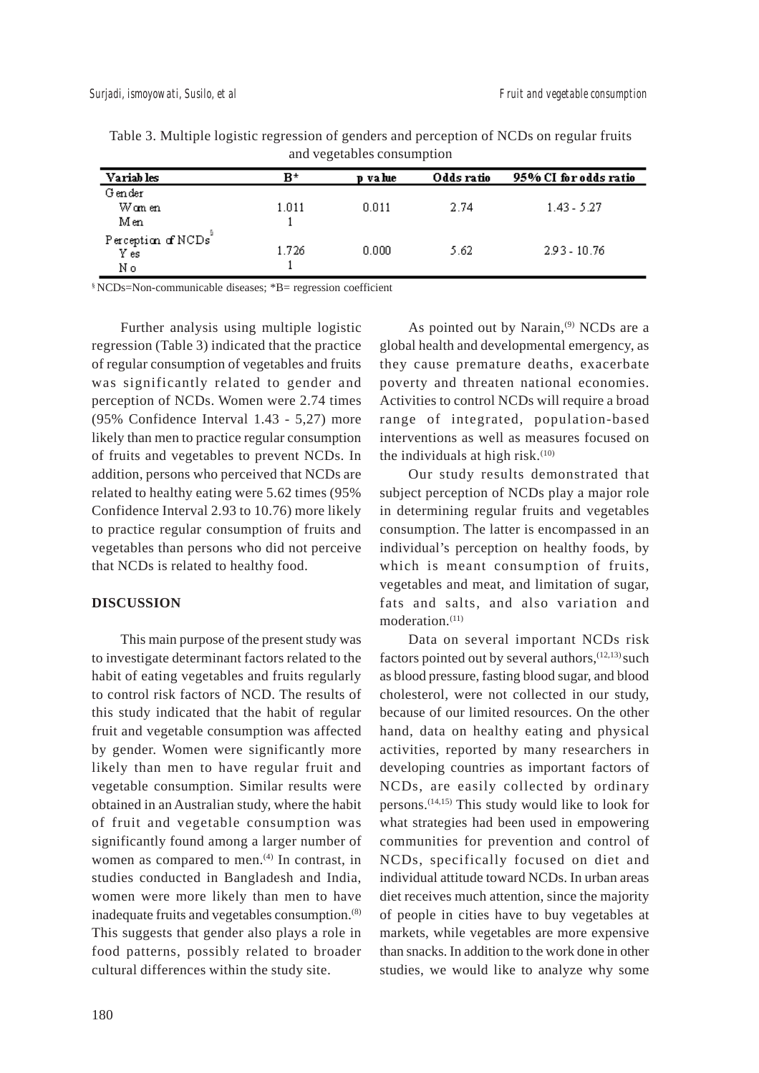| Variab les                              | в*    | p value | Odds ratio | 95% CI for odds ratio |  |  |
|-----------------------------------------|-------|---------|------------|-----------------------|--|--|
| Gender                                  |       |         |            |                       |  |  |
| Wan en                                  | 1.011 | 0.011   | 2.74       | $1.43 - 5.27$         |  |  |
| Men                                     |       |         |            |                       |  |  |
| Perception of NCDs <sup>7</sup><br>Y es | 1.726 | 0.000   | 5.62.      | 2.93 - 10.76          |  |  |
| Νo                                      |       |         |            |                       |  |  |

Table 3. Multiple logistic regression of genders and perception of NCDs on regular fruits and vegetables consumption

§ NCDs=Non-communicable diseases; \*B= regression coefficient

Further analysis using multiple logistic regression (Table 3) indicated that the practice of regular consumption of vegetables and fruits was significantly related to gender and perception of NCDs. Women were 2.74 times (95% Confidence Interval 1.43 - 5,27) more likely than men to practice regular consumption of fruits and vegetables to prevent NCDs. In addition, persons who perceived that NCDs are related to healthy eating were 5.62 times (95% Confidence Interval 2.93 to 10.76) more likely to practice regular consumption of fruits and vegetables than persons who did not perceive that NCDs is related to healthy food.

#### **DISCUSSION**

This main purpose of the present study was to investigate determinant factors related to the habit of eating vegetables and fruits regularly to control risk factors of NCD. The results of this study indicated that the habit of regular fruit and vegetable consumption was affected by gender. Women were significantly more likely than men to have regular fruit and vegetable consumption. Similar results were obtained in an Australian study, where the habit of fruit and vegetable consumption was significantly found among a larger number of women as compared to men. $(4)$  In contrast, in studies conducted in Bangladesh and India, women were more likely than men to have inadequate fruits and vegetables consumption.(8) This suggests that gender also plays a role in food patterns, possibly related to broader cultural differences within the study site.

As pointed out by Narain,<sup>(9)</sup> NCDs are a global health and developmental emergency, as they cause premature deaths, exacerbate poverty and threaten national economies. Activities to control NCDs will require a broad range of integrated, population-based interventions as well as measures focused on the individuals at high risk. $(10)$ 

Our study results demonstrated that subject perception of NCDs play a major role in determining regular fruits and vegetables consumption. The latter is encompassed in an individual's perception on healthy foods, by which is meant consumption of fruits, vegetables and meat, and limitation of sugar, fats and salts, and also variation and moderation.<sup>(11)</sup>

Data on several important NCDs risk factors pointed out by several authors,  $(12,13)$  such as blood pressure, fasting blood sugar, and blood cholesterol, were not collected in our study, because of our limited resources. On the other hand, data on healthy eating and physical activities, reported by many researchers in developing countries as important factors of NCDs, are easily collected by ordinary persons.<sup> $(14,15)$ </sup> This study would like to look for what strategies had been used in empowering communities for prevention and control of NCDs, specifically focused on diet and individual attitude toward NCDs. In urban areas diet receives much attention, since the majority of people in cities have to buy vegetables at markets, while vegetables are more expensive than snacks. In addition to the work done in other studies, we would like to analyze why some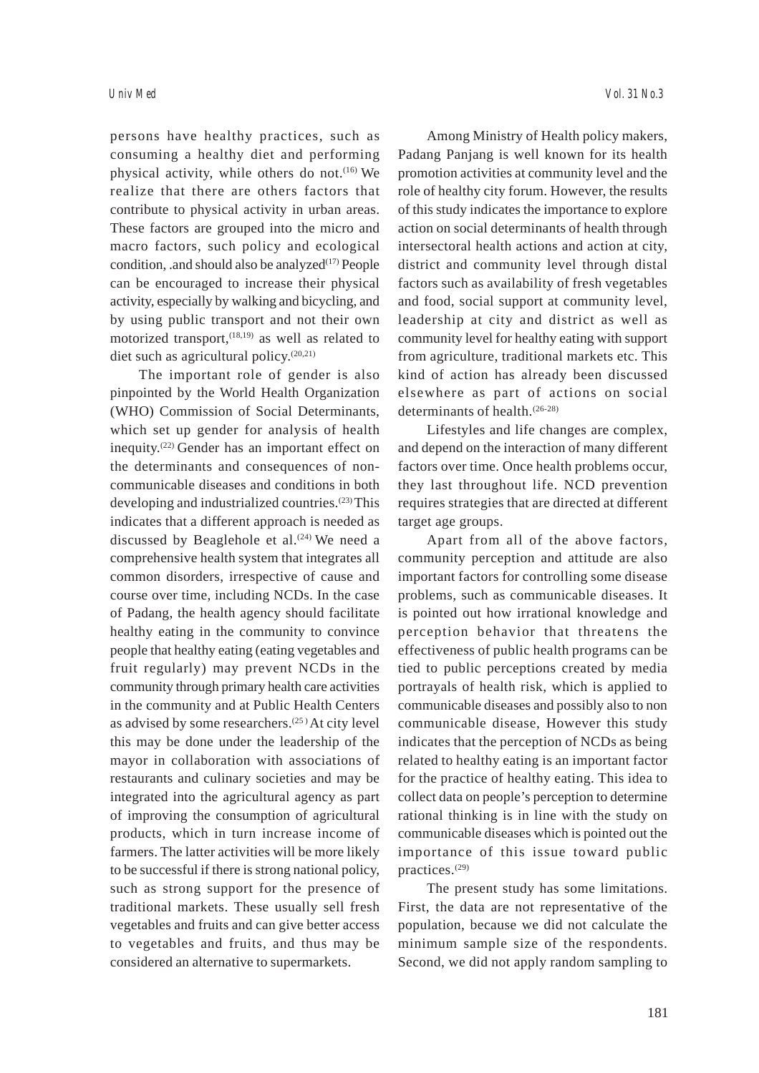persons have healthy practices, such as consuming a healthy diet and performing physical activity, while others do not.<sup>(16)</sup> We realize that there are others factors that contribute to physical activity in urban areas. These factors are grouped into the micro and macro factors, such policy and ecological condition, .and should also be analyzed $(17)$  People can be encouraged to increase their physical activity, especially by walking and bicycling, and by using public transport and not their own motorized transport,<sup>(18,19)</sup> as well as related to diet such as agricultural policy.(20,21)

The important role of gender is also pinpointed by the World Health Organization (WHO) Commission of Social Determinants, which set up gender for analysis of health inequity.(22) Gender has an important effect on the determinants and consequences of noncommunicable diseases and conditions in both developing and industrialized countries.(23) This indicates that a different approach is needed as discussed by Beaglehole et al. $(24)$  We need a comprehensive health system that integrates all common disorders, irrespective of cause and course over time, including NCDs. In the case of Padang, the health agency should facilitate healthy eating in the community to convince people that healthy eating (eating vegetables and fruit regularly) may prevent NCDs in the community through primary health care activities in the community and at Public Health Centers as advised by some researchers. $(25)$  At city level this may be done under the leadership of the mayor in collaboration with associations of restaurants and culinary societies and may be integrated into the agricultural agency as part of improving the consumption of agricultural products, which in turn increase income of farmers. The latter activities will be more likely to be successful if there is strong national policy, such as strong support for the presence of traditional markets. These usually sell fresh vegetables and fruits and can give better access to vegetables and fruits, and thus may be considered an alternative to supermarkets.

Among Ministry of Health policy makers, Padang Panjang is well known for its health promotion activities at community level and the role of healthy city forum. However, the results of this study indicates the importance to explore action on social determinants of health through intersectoral health actions and action at city, district and community level through distal factors such as availability of fresh vegetables and food, social support at community level, leadership at city and district as well as community level for healthy eating with support from agriculture, traditional markets etc. This kind of action has already been discussed elsewhere as part of actions on social determinants of health.(26-28)

Lifestyles and life changes are complex, and depend on the interaction of many different factors over time. Once health problems occur, they last throughout life. NCD prevention requires strategies that are directed at different target age groups.

Apart from all of the above factors, community perception and attitude are also important factors for controlling some disease problems, such as communicable diseases. It is pointed out how irrational knowledge and perception behavior that threatens the effectiveness of public health programs can be tied to public perceptions created by media portrayals of health risk, which is applied to communicable diseases and possibly also to non communicable disease, However this study indicates that the perception of NCDs as being related to healthy eating is an important factor for the practice of healthy eating. This idea to collect data on people's perception to determine rational thinking is in line with the study on communicable diseases which is pointed out the importance of this issue toward public practices.(29)

The present study has some limitations. First, the data are not representative of the population, because we did not calculate the minimum sample size of the respondents. Second, we did not apply random sampling to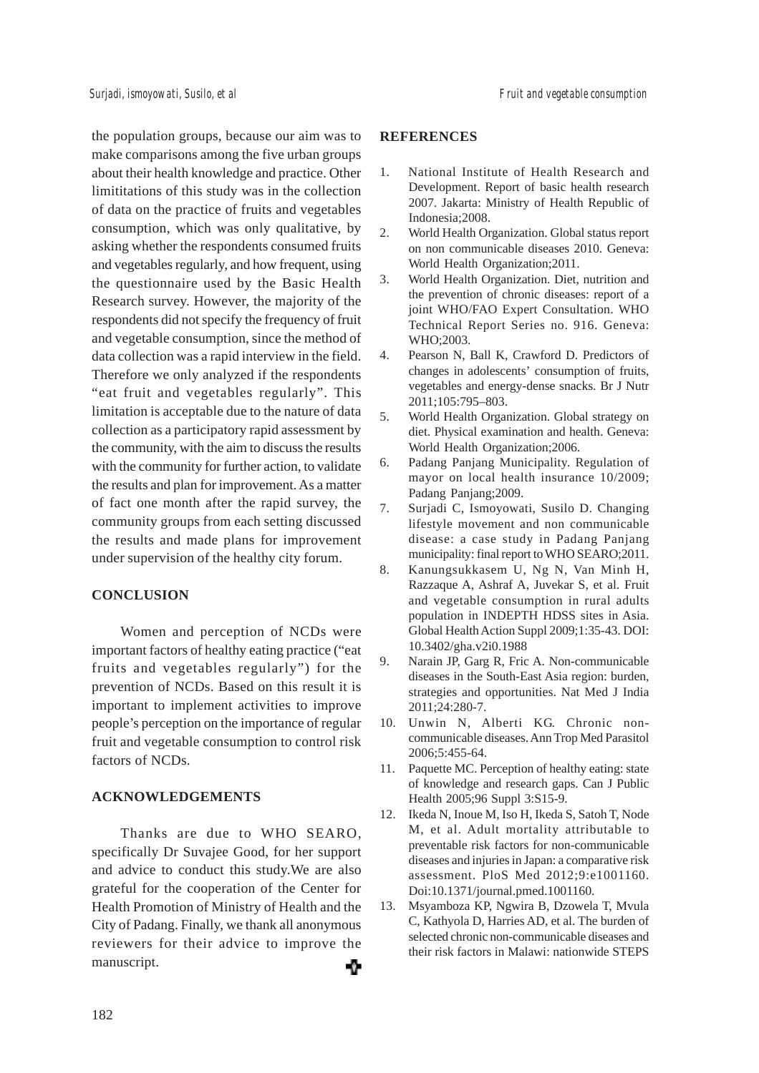the population groups, because our aim was to make comparisons among the five urban groups about their health knowledge and practice. Other limititations of this study was in the collection of data on the practice of fruits and vegetables consumption, which was only qualitative, by asking whether the respondents consumed fruits and vegetables regularly, and how frequent, using the questionnaire used by the Basic Health Research survey. However, the majority of the respondents did not specify the frequency of fruit and vegetable consumption, since the method of data collection was a rapid interview in the field. Therefore we only analyzed if the respondents "eat fruit and vegetables regularly". This limitation is acceptable due to the nature of data collection as a participatory rapid assessment by the community, with the aim to discuss the results with the community for further action, to validate the results and plan for improvement. As a matter of fact one month after the rapid survey, the community groups from each setting discussed the results and made plans for improvement under supervision of the healthy city forum.

# **CONCLUSION**

Women and perception of NCDs were important factors of healthy eating practice ("eat fruits and vegetables regularly") for the prevention of NCDs. Based on this result it is important to implement activities to improve people's perception on the importance of regular fruit and vegetable consumption to control risk factors of NCDs.

# **ACKNOWLEDGEMENTS**

Thanks are due to WHO SEARO, specifically Dr Suvajee Good, for her support and advice to conduct this study.We are also grateful for the cooperation of the Center for Health Promotion of Ministry of Health and the City of Padang. Finally, we thank all anonymous reviewers for their advice to improve the manuscript. ⊕

### **REFERENCES**

- 1. National Institute of Health Research and Development. Report of basic health research 2007. Jakarta: Ministry of Health Republic of Indonesia;2008.
- 2. World Health Organization. Global status report on non communicable diseases 2010. Geneva: World Health Organization;2011.
- 3. World Health Organization. Diet, nutrition and the prevention of chronic diseases: report of a joint WHO/FAO Expert Consultation. WHO Technical Report Series no. 916. Geneva: WHO;2003.
- 4. Pearson N, Ball K, Crawford D. Predictors of changes in adolescents' consumption of fruits, vegetables and energy-dense snacks. Br J Nutr 2011;105:795–803.
- 5. World Health Organization. Global strategy on diet. Physical examination and health. Geneva: World Health Organization;2006.
- 6. Padang Panjang Municipality. Regulation of mayor on local health insurance 10/2009; Padang Panjang;2009.
- 7. Surjadi C, Ismoyowati, Susilo D. Changing lifestyle movement and non communicable disease: a case study in Padang Panjang municipality: final report to WHO SEARO;2011.
- 8. Kanungsukkasem U, Ng N, Van Minh H, Razzaque A, Ashraf A, Juvekar S, et al. Fruit and vegetable consumption in rural adults population in INDEPTH HDSS sites in Asia. Global Health Action Suppl 2009;1:35-43. DOI: 10.3402/gha.v2i0.1988
- 9. Narain JP, Garg R, Fric A. Non-communicable diseases in the South-East Asia region: burden, strategies and opportunities. Nat Med J India 2011;24:280-7.
- 10. Unwin N, Alberti KG. Chronic noncommunicable diseases. Ann Trop Med Parasitol 2006;5:455-64.
- 11. Paquette MC. Perception of healthy eating: state of knowledge and research gaps. Can J Public Health 2005;96 Suppl 3:S15-9.
- 12. Ikeda N, Inoue M, Iso H, Ikeda S, Satoh T, Node M, et al. Adult mortality attributable to preventable risk factors for non-communicable diseases and injuries in Japan: a comparative risk assessment. PloS Med 2012;9:e1001160. Doi:10.1371/journal.pmed.1001160.
- 13. Msyamboza KP, Ngwira B, Dzowela T, Mvula C, Kathyola D, Harries AD, et al. The burden of selected chronic non-communicable diseases and their risk factors in Malawi: nationwide STEPS